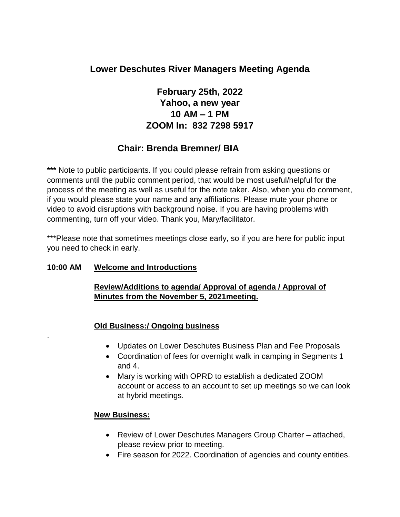# **Lower Deschutes River Managers Meeting Agenda**

# **February 25th, 2022 Yahoo, a new year 10 AM – 1 PM ZOOM In: 832 7298 5917**

# **Chair: Brenda Bremner/ BIA**

**\*\*\*** Note to public participants. If you could please refrain from asking questions or comments until the public comment period, that would be most useful/helpful for the process of the meeting as well as useful for the note taker. Also, when you do comment, if you would please state your name and any affiliations. Please mute your phone or video to avoid disruptions with background noise. If you are having problems with commenting, turn off your video. Thank you, Mary/facilitator.

\*\*\*Please note that sometimes meetings close early, so if you are here for public input you need to check in early.

#### **10:00 AM Welcome and Introductions**

.

#### **Review/Additions to agenda/ Approval of agenda / Approval of Minutes from the November 5, 2021meeting.**

#### **Old Business:/ Ongoing business**

- Updates on Lower Deschutes Business Plan and Fee Proposals
- Coordination of fees for overnight walk in camping in Segments 1 and 4.
- Mary is working with OPRD to establish a dedicated ZOOM account or access to an account to set up meetings so we can look at hybrid meetings.

#### **New Business:**

- Review of Lower Deschutes Managers Group Charter attached, please review prior to meeting.
- Fire season for 2022. Coordination of agencies and county entities.